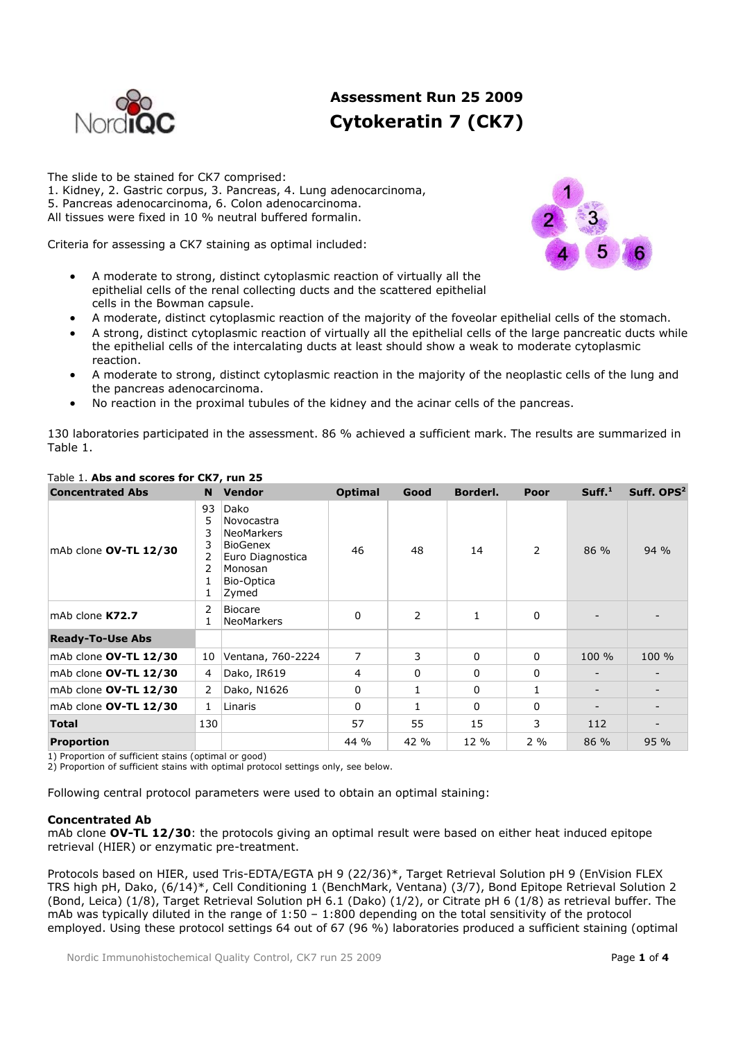

# **Assessment Run 25 2009 Cytokeratin 7 (CK7)**

The slide to be stained for CK7 comprised: 1. Kidney, 2. Gastric corpus, 3. Pancreas, 4. Lung adenocarcinoma, 5. Pancreas adenocarcinoma, 6. Colon adenocarcinoma. All tissues were fixed in 10 % neutral buffered formalin.

Criteria for assessing a CK7 staining as optimal included:

- A moderate to strong, distinct cytoplasmic reaction of virtually all the epithelial cells of the renal collecting ducts and the scattered epithelial cells in the Bowman capsule.
- A moderate, distinct cytoplasmic reaction of the majority of the foveolar epithelial cells of the stomach.
- A strong, distinct cytoplasmic reaction of virtually all the epithelial cells of the large pancreatic ducts while the epithelial cells of the intercalating ducts at least should show a weak to moderate cytoplasmic reaction.
- A moderate to strong, distinct cytoplasmic reaction in the majority of the neoplastic cells of the lung and the pancreas adenocarcinoma.
- No reaction in the proximal tubules of the kidney and the acinar cells of the pancreas.

130 laboratories participated in the assessment. 86 % achieved a sufficient mark. The results are summarized in Table 1.

| <b>Concentrated Abs</b> | <b>N</b>       | <b>Vendor</b>                                                                                                    | <b>Optimal</b> | Good | Borderl. | Poor     | Suff. <sup>1</sup>           | Suff. OPS <sup>2</sup> |
|-------------------------|----------------|------------------------------------------------------------------------------------------------------------------|----------------|------|----------|----------|------------------------------|------------------------|
| mAb clone OV-TL 12/30   | 93<br>5        | Dako<br>Novocastra<br><b>NeoMarkers</b><br><b>BioGenex</b><br>Euro Diagnostica<br>Monosan<br>Bio-Optica<br>Zymed | 46             | 48   | 14       | 2        | $86\%$                       | 94 %                   |
| mAb clone K72.7         | 2              | <b>Biocare</b><br>NeoMarkers                                                                                     | 0              | 2    | 1        | 0        |                              |                        |
| <b>Ready-To-Use Abs</b> |                |                                                                                                                  |                |      |          |          |                              |                        |
| mAb clone OV-TL 12/30   | 10             | Ventana, 760-2224                                                                                                | 7              | 3    | 0        | $\Omega$ | 100 %                        | 100 %                  |
| mAb clone OV-TL 12/30   | 4              | Dako, IR619                                                                                                      | 4              | 0    | 0        | 0        | $\qquad \qquad -$            |                        |
| mAb clone OV-TL 12/30   | $\overline{2}$ | Dako, N1626                                                                                                      | 0              | 1    | 0        | 1        | $\qquad \qquad \blacksquare$ |                        |
| mAb clone OV-TL 12/30   | 1              | Linaris                                                                                                          | 0              |      | 0        | 0        |                              |                        |
| <b>Total</b>            | 130            |                                                                                                                  | 57             | 55   | 15       | 3        | 112                          |                        |
| <b>Proportion</b>       |                |                                                                                                                  | 44 %           | 42 % | 12 %     | $2\%$    | 86 %                         | 95 %                   |

# Table 1. **Abs and scores for CK7, run 25**

1) Proportion of sufficient stains (optimal or good)

2) Proportion of sufficient stains with optimal protocol settings only, see below.

Following central protocol parameters were used to obtain an optimal staining:

# **Concentrated Ab**

mAb clone **OV-TL 12/30**: the protocols giving an optimal result were based on either heat induced epitope retrieval (HIER) or enzymatic pre-treatment.

Protocols based on HIER, used Tris-EDTA/EGTA pH 9 (22/36)\*, Target Retrieval Solution pH 9 (EnVision FLEX TRS high pH, Dako, (6/14)\*, Cell Conditioning 1 (BenchMark, Ventana) (3/7), Bond Epitope Retrieval Solution 2 (Bond, Leica) (1/8), Target Retrieval Solution pH 6.1 (Dako) (1/2), or Citrate pH 6 (1/8) as retrieval buffer. The mAb was typically diluted in the range of  $1:50 - 1:800$  depending on the total sensitivity of the protocol employed. Using these protocol settings 64 out of 67 (96 %) laboratories produced a sufficient staining (optimal

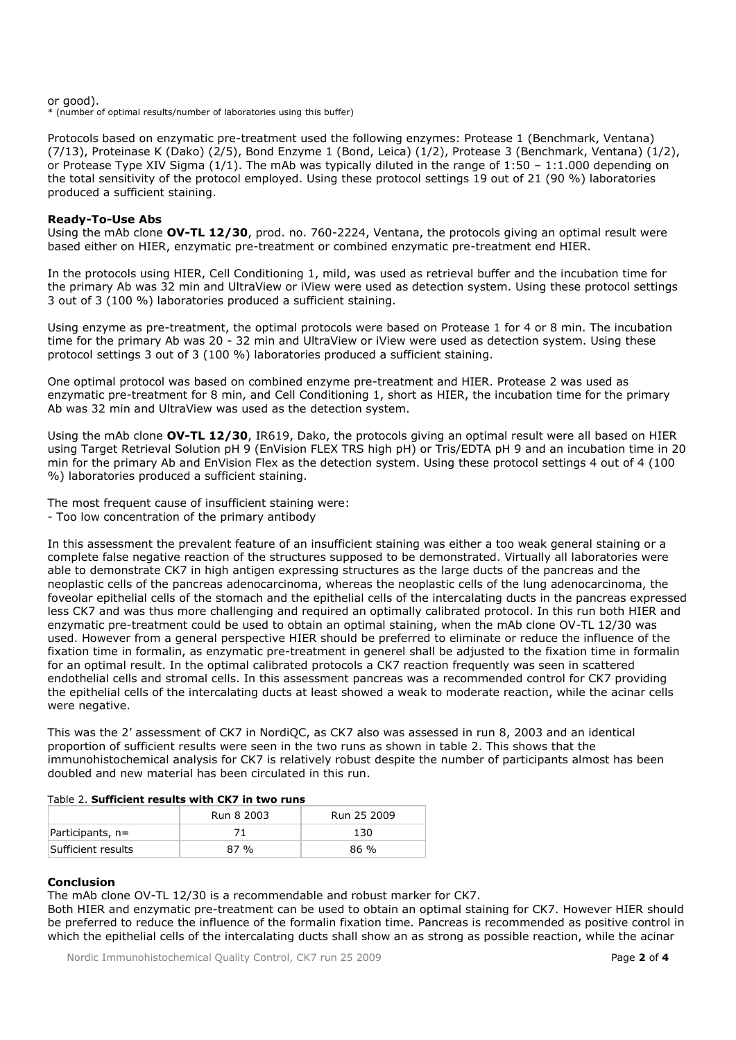or good).

\* (number of optimal results/number of laboratories using this buffer)

Protocols based on enzymatic pre-treatment used the following enzymes: Protease 1 (Benchmark, Ventana) (7/13), Proteinase K (Dako) (2/5), Bond Enzyme 1 (Bond, Leica) (1/2), Protease 3 (Benchmark, Ventana) (1/2), or Protease Type XIV Sigma (1/1). The mAb was typically diluted in the range of 1:50 – 1:1.000 depending on the total sensitivity of the protocol employed. Using these protocol settings 19 out of 21 (90 %) laboratories produced a sufficient staining.

#### **Ready-To-Use Abs**

Using the mAb clone **OV-TL 12/30**, prod. no. 760-2224, Ventana, the protocols giving an optimal result were based either on HIER, enzymatic pre-treatment or combined enzymatic pre-treatment end HIER.

In the protocols using HIER, Cell Conditioning 1, mild, was used as retrieval buffer and the incubation time for the primary Ab was 32 min and UltraView or iView were used as detection system. Using these protocol settings 3 out of 3 (100 %) laboratories produced a sufficient staining.

Using enzyme as pre-treatment, the optimal protocols were based on Protease 1 for 4 or 8 min. The incubation time for the primary Ab was 20 - 32 min and UltraView or iView were used as detection system. Using these protocol settings 3 out of 3 (100 %) laboratories produced a sufficient staining.

One optimal protocol was based on combined enzyme pre-treatment and HIER. Protease 2 was used as enzymatic pre-treatment for 8 min, and Cell Conditioning 1, short as HIER, the incubation time for the primary Ab was 32 min and UltraView was used as the detection system.

Using the mAb clone **OV-TL 12/30**, IR619, Dako, the protocols giving an optimal result were all based on HIER using Target Retrieval Solution pH 9 (EnVision FLEX TRS high pH) or Tris/EDTA pH 9 and an incubation time in 20 min for the primary Ab and EnVision Flex as the detection system. Using these protocol settings 4 out of 4 (100 %) laboratories produced a sufficient staining.

The most frequent cause of insufficient staining were:

- Too low concentration of the primary antibody

In this assessment the prevalent feature of an insufficient staining was either a too weak general staining or a complete false negative reaction of the structures supposed to be demonstrated. Virtually all laboratories were able to demonstrate CK7 in high antigen expressing structures as the large ducts of the pancreas and the neoplastic cells of the pancreas adenocarcinoma, whereas the neoplastic cells of the lung adenocarcinoma, the foveolar epithelial cells of the stomach and the epithelial cells of the intercalating ducts in the pancreas expressed less CK7 and was thus more challenging and required an optimally calibrated protocol. In this run both HIER and enzymatic pre-treatment could be used to obtain an optimal staining, when the mAb clone OV-TL 12/30 was used. However from a general perspective HIER should be preferred to eliminate or reduce the influence of the fixation time in formalin, as enzymatic pre-treatment in generel shall be adjusted to the fixation time in formalin for an optimal result. In the optimal calibrated protocols a CK7 reaction frequently was seen in scattered endothelial cells and stromal cells. In this assessment pancreas was a recommended control for CK7 providing the epithelial cells of the intercalating ducts at least showed a weak to moderate reaction, while the acinar cells were negative.

This was the 2' assessment of CK7 in NordiQC, as CK7 also was assessed in run 8, 2003 and an identical proportion of sufficient results were seen in the two runs as shown in table 2. This shows that the immunohistochemical analysis for CK7 is relatively robust despite the number of participants almost has been doubled and new material has been circulated in this run.

#### Table 2. **Sufficient results with CK7 in two runs**

|                    | Run 8 2003 | Run 25 2009 |
|--------------------|------------|-------------|
| Participants, n=   |            | 130         |
| Sufficient results | 87%        | $86\%$      |

#### **Conclusion**

The mAb clone OV-TL 12/30 is a recommendable and robust marker for CK7.

Both HIER and enzymatic pre-treatment can be used to obtain an optimal staining for CK7. However HIER should be preferred to reduce the influence of the formalin fixation time. Pancreas is recommended as positive control in which the epithelial cells of the intercalating ducts shall show an as strong as possible reaction, while the acinar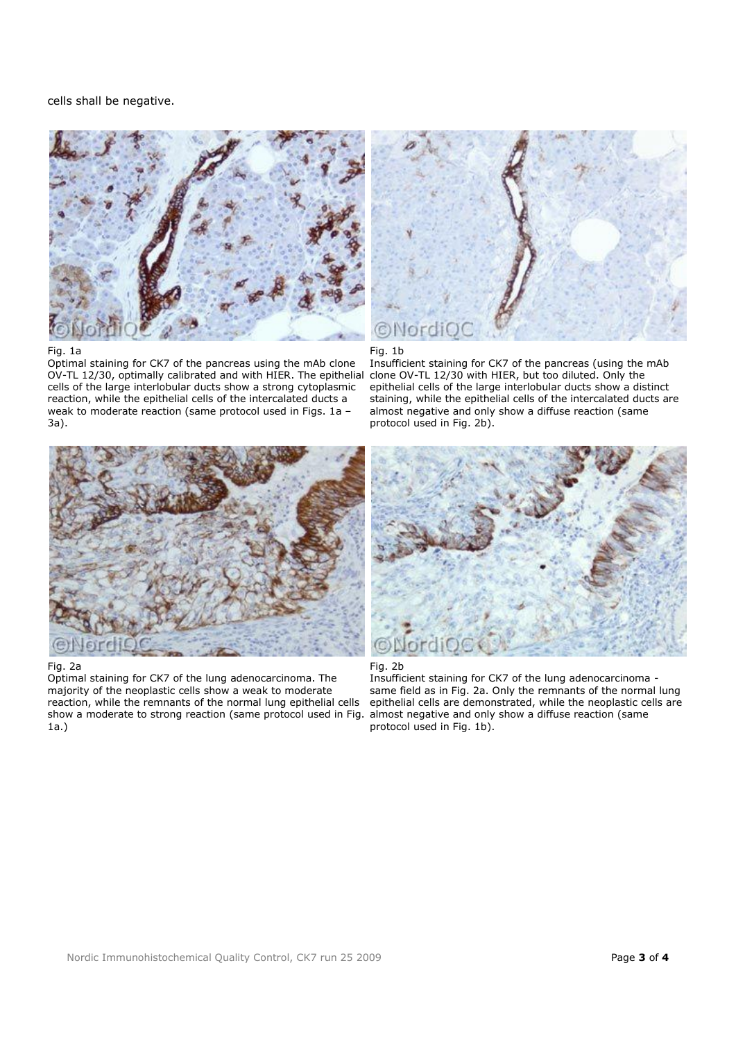cells shall be negative.





Optimal staining for CK7 of the pancreas using the mAb clone OV-TL 12/30, optimally calibrated and with HIER. The epithelial cells of the large interlobular ducts show a strong cytoplasmic reaction, while the epithelial cells of the intercalated ducts a weak to moderate reaction (same protocol used in Figs. 1a – 3a).





Insufficient staining for CK7 of the pancreas (using the mAb clone OV-TL 12/30 with HIER, but too diluted. Only the epithelial cells of the large interlobular ducts show a distinct staining, while the epithelial cells of the intercalated ducts are almost negative and only show a diffuse reaction (same protocol used in Fig. 2b).



#### Fig. 2a

Optimal staining for CK7 of the lung adenocarcinoma. The majority of the neoplastic cells show a weak to moderate reaction, while the remnants of the normal lung epithelial cells show a moderate to strong reaction (same protocol used in Fig. 1a.)



#### Fig. 2b

Insufficient staining for CK7 of the lung adenocarcinoma same field as in Fig. 2a. Only the remnants of the normal lung epithelial cells are demonstrated, while the neoplastic cells are almost negative and only show a diffuse reaction (same protocol used in Fig. 1b).